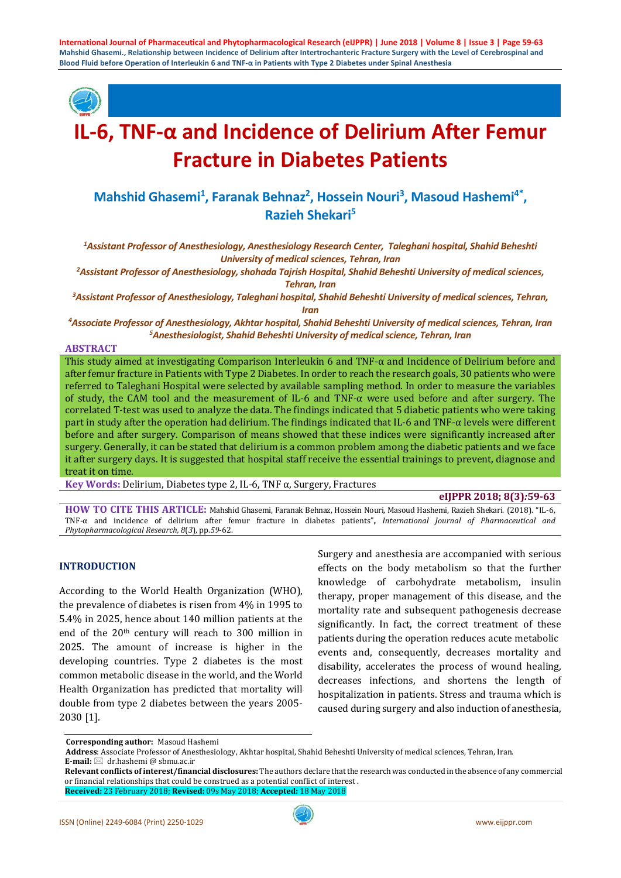

# **IL-6, TNF-α and Incidence of Delirium After Femur Fracture in Diabetes Patients**

# Mahshid Ghasemi<sup>1</sup>, Faranak Behnaz<sup>2</sup>, Hossein Nouri<sup>3</sup>, Masoud Hashemi<sup>4\*</sup>, **Razieh Shekari5**

*1 Assistant Professor of Anesthesiology, Anesthesiology Research Center, Taleghani hospital, Shahid Beheshti University of medical sciences, Tehran, Iran*

*2 Assistant Professor of Anesthesiology, shohada Tajrish Hospital, Shahid Beheshti University of medical sciences, Tehran, Iran*

*3 Assistant Professor of Anesthesiology, Taleghani hospital, Shahid Beheshti University of medical sciences, Tehran, Iran*

*4 Associate Professor of Anesthesiology, Akhtar hospital, Shahid Beheshti University of medical sciences, Tehran, Iran 5 Anesthesiologist, Shahid Beheshti University of medical science, Tehran, Iran*

**ABSTRACT**

This study aimed at investigating Comparison Interleukin 6 and TNF-α and Incidence of Delirium before and after femur fracture in Patients with Type 2 Diabetes. In order to reach the research goals, 30 patients who were referred to Taleghani Hospital were selected by available sampling method. In order to measure the variables of study, the CAM tool and the measurement of IL-6 and TNF- $\alpha$  were used before and after surgery. The correlated T-test was used to analyze the data. The findings indicated that 5 diabetic patients who were taking part in study after the operation had delirium. The findings indicated that IL-6 and TNF-α levels were different before and after surgery. Comparison of means showed that these indices were significantly increased after surgery. Generally, it can be stated that delirium is a common problem among the diabetic patients and we face it after surgery days. It is suggested that hospital staff receive the essential trainings to prevent, diagnose and treat it on time.

**Key Words:** Delirium, Diabetes type 2, IL-6, TNF α, Surgery, Fractures

#### **eIJPPR 2018; 8(3)***:***59-63**

**HOW TO CITE THIS ARTICLE:** Mahshid Ghasemi, Faranak Behnaz, Hossein Nouri, Masoud Hashemi, Razieh Shekari. (2018). "IL-6, TNF-α and incidence of delirium after femur fracture in diabetes patients"**,** *International Journal of Pharmaceutical and Phytopharmacological Research, 8*(*3*), pp.*59*-62.

# **INTRODUCTION**

According to the World Health Organization (WHO), the prevalence of diabetes is risen from 4% in 1995 to 5.4% in 2025, hence about 140 million patients at the end of the 20th century will reach to 300 million in 2025. The amount of increase is higher in the developing countries. Type 2 diabetes is the most common metabolic disease in the world, and the World Health Organization has predicted that mortality will double from type 2 diabetes between the years 2005- 2030 [1].

Surgery and anesthesia are accompanied with serious effects on the body metabolism so that the further knowledge of carbohydrate metabolism, insulin therapy, proper management of this disease, and the mortality rate and subsequent pathogenesis decrease significantly. In fact, the correct treatment of these patients during the operation reduces acute metabolic events and, consequently, decreases mortality and disability, accelerates the process of wound healing, decreases infections, and shortens the length of hospitalization in patients. Stress and trauma which is caused during surgery and also induction of anesthesia,

**Corresponding author:** Masoud Hashemi

**Address**: Associate Professor of Anesthesiology, Akhtar hospital, Shahid Beheshti University of medical sciences, Tehran, Iran.

**E-mail:** dr.hashemi @ sbmu.ac.ir

**Relevant conflicts of interest/financial disclosures:** The authors declare that the research was conducted in the absence of any commercial or financial relationships that could be construed as a potential conflict of interest .

**Received:** 23 February 2018; **Revised:** 09s May 2018; **Accepted:** 18 May 2018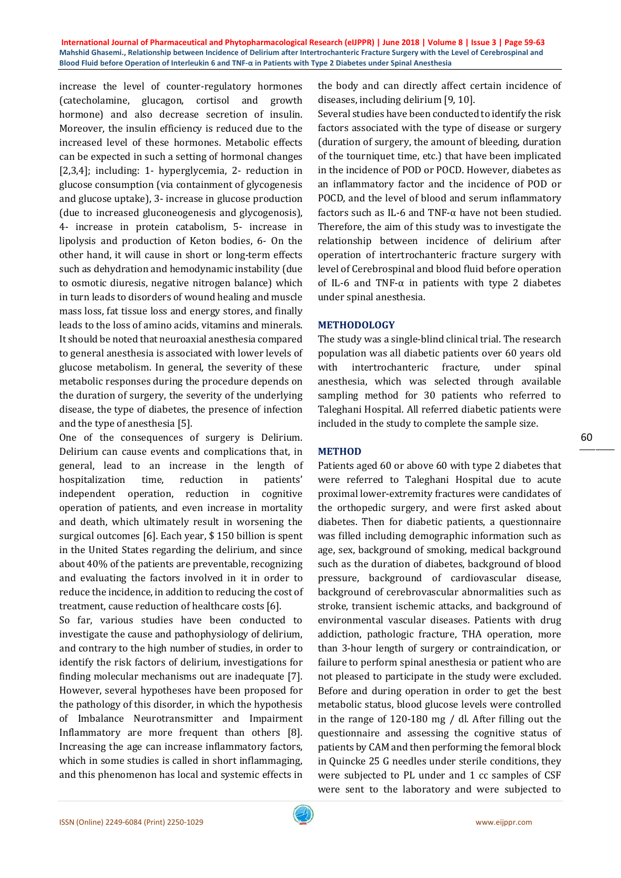increase the level of counter-regulatory hormones (catecholamine, glucagon, cortisol and growth hormone) and also decrease secretion of insulin. Moreover, the insulin efficiency is reduced due to the increased level of these hormones. Metabolic effects can be expected in such a setting of hormonal changes [2,3,4]; including: 1- hyperglycemia, 2- reduction in glucose consumption (via containment of glycogenesis and glucose uptake), 3- increase in glucose production (due to increased gluconeogenesis and glycogenosis), 4- increase in protein catabolism, 5- increase in lipolysis and production of Keton bodies, 6- On the other hand, it will cause in short or long-term effects such as dehydration and hemodynamic instability (due to osmotic diuresis, negative nitrogen balance) which in turn leads to disorders of wound healing and muscle mass loss, fat tissue loss and energy stores, and finally leads to the loss of amino acids, vitamins and minerals. It should be noted that neuroaxial anesthesia compared to general anesthesia is associated with lower levels of glucose metabolism. In general, the severity of these metabolic responses during the procedure depends on the duration of surgery, the severity of the underlying disease, the type of diabetes, the presence of infection and the type of anesthesia [5].

One of the consequences of surgery is Delirium. Delirium can cause events and complications that, in general, lead to an increase in the length of hospitalization time, reduction in patients' independent operation, reduction in cognitive operation of patients, and even increase in mortality and death, which ultimately result in worsening the surgical outcomes [6]. Each year, \$ 150 billion is spent in the United States regarding the delirium, and since about 40% of the patients are preventable, recognizing and evaluating the factors involved in it in order to reduce the incidence, in addition to reducing the cost of treatment, cause reduction of healthcare costs [6].

So far, various studies have been conducted to investigate the cause and pathophysiology of delirium, and contrary to the high number of studies, in order to identify the risk factors of delirium, investigations for finding molecular mechanisms out are inadequate [7]. However, several hypotheses have been proposed for the pathology of this disorder, in which the hypothesis of Imbalance Neurotransmitter and Impairment Inflammatory are more frequent than others [8]. Increasing the age can increase inflammatory factors, which in some studies is called in short inflammaging, and this phenomenon has local and systemic effects in the body and can directly affect certain incidence of diseases, including delirium [9, 10].

Several studies have been conducted to identify the risk factors associated with the type of disease or surgery (duration of surgery, the amount of bleeding, duration of the tourniquet time, etc.) that have been implicated in the incidence of POD or POCD. However, diabetes as an inflammatory factor and the incidence of POD or POCD, and the level of blood and serum inflammatory factors such as IL-6 and TNF- $\alpha$  have not been studied. Therefore, the aim of this study was to investigate the relationship between incidence of delirium after operation of intertrochanteric fracture surgery with level of Cerebrospinal and blood fluid before operation of IL-6 and TNF- $\alpha$  in patients with type 2 diabetes under spinal anesthesia.

### **METHODOLOGY**

The study was a single-blind clinical trial. The research population was all diabetic patients over 60 years old with intertrochanteric fracture, under spinal anesthesia, which was selected through available sampling method for 30 patients who referred to Taleghani Hospital. All referred diabetic patients were included in the study to complete the sample size.

#### **METHOD**

Patients aged 60 or above 60 with type 2 diabetes that were referred to Taleghani Hospital due to acute proximal lower-extremity fractures were candidates of the orthopedic surgery, and were first asked about diabetes. Then for diabetic patients, a questionnaire was filled including demographic information such as age, sex, background of smoking, medical background such as the duration of diabetes, background of blood pressure, background of cardiovascular disease, background of cerebrovascular abnormalities such as stroke, transient ischemic attacks, and background of environmental vascular diseases. Patients with drug addiction, pathologic fracture, THA operation, more than 3-hour length of surgery or contraindication, or failure to perform spinal anesthesia or patient who are not pleased to participate in the study were excluded. Before and during operation in order to get the best metabolic status, blood glucose levels were controlled in the range of 120-180 mg / dl. After filling out the questionnaire and assessing the cognitive status of patients by CAM and then performing the femoral block in Quincke 25 G needles under sterile conditions, they were subjected to PL under and 1 cc samples of CSF were sent to the laboratory and were subjected to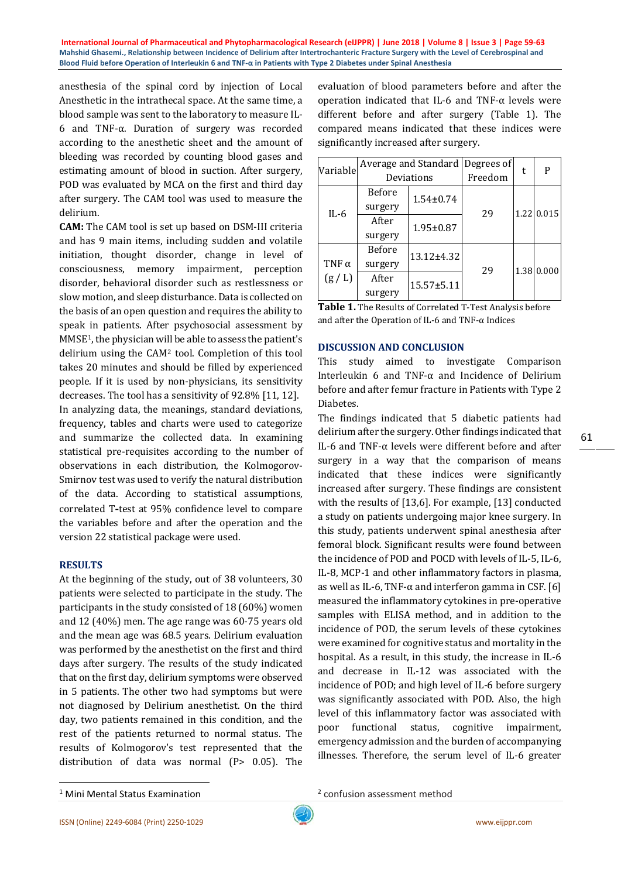anesthesia of the spinal cord by injection of Local Anesthetic in the intrathecal space. At the same time, a blood sample was sent to the laboratory to measure IL-6 and TNF-α. Duration of surgery was recorded according to the anesthetic sheet and the amount of bleeding was recorded by counting blood gases and estimating amount of blood in suction. After surgery, POD was evaluated by MCA on the first and third day after surgery. The CAM tool was used to measure the delirium.

**CAM:** The CAM tool is set up based on DSM-III criteria and has 9 main items, including sudden and volatile initiation, thought disorder, change in level of consciousness, memory impairment, perception disorder, behavioral disorder such as restlessness or slow motion, and sleep disturbance. Data is collected on the basis of an open question and requires the ability to speak in patients. After psychosocial assessment by MMSE[1](#page-2-0), the physician wi[ll](#page-2-0) be able to assess the patient's delirium using the CAM2 tool. Completion of this tool takes 20 minutes and should be filled by experienced people. If it is used by non-physicians, its sensitivity decreases. The tool has a sensitivity of 92.8% [11, 12]. In analyzing data, the meanings, standard deviations, frequency, tables and charts were used to categorize and summarize the collected data. In examining statistical pre-requisites according to the number of observations in each distribution, the Kolmogorov-Smirnov test was used to verify the natural distribution of the data. According to statistical assumptions, correlated T**-**test at 95% confidence level to compare the variables before and after the operation and the version 22 statistical package were used.

#### **RESULTS**

At the beginning of the study, out of 38 volunteers, 30 patients were selected to participate in the study. The participants in the study consisted of 18 (60%) women and 12 (40%) men. The age range was 60-75 years old and the mean age was 68.5 years. Delirium evaluation was performed by the anesthetist on the first and third days after surgery. The results of the study indicated that on the first day, delirium symptoms were observed in 5 patients. The other two had symptoms but were not diagnosed by Delirium anesthetist. On the third day, two patients remained in this condition, and the rest of the patients returned to normal status. The results of Kolmogorov's test represented that the distribution of data was normal (P> 0.05). The evaluation of blood parameters before and after the operation indicated that IL-6 and TNF-α levels were different before and after surgery (Table 1). The compared means indicated that these indices were significantly increased after surgery.

| Variable     | Average and Standard Degrees of |                              |         | P          |
|--------------|---------------------------------|------------------------------|---------|------------|
|              | Deviations                      |                              | Freedom |            |
| $IL-6$       | <b>Before</b>                   | $1.54 \pm 0.74$              | 29      | 1.22 0.015 |
|              | surgery                         |                              |         |            |
|              | After                           | $1.95 \pm 0.87$              |         |            |
|              | surgery                         |                              |         |            |
|              | Before                          | 13.12±4.32<br>$15.57 + 5.11$ | 29      | 1.38 0.000 |
| TNF $\alpha$ | surgery                         |                              |         |            |
| (g/L)        | After                           |                              |         |            |
|              | surgery                         |                              |         |            |

| Table 1. The Results of Correlated T-Test Analysis before |
|-----------------------------------------------------------|
| and after the Operation of IL-6 and TNF- $\alpha$ Indices |

#### **DISCUSSION AND CONCLUSION**

This study aimed to investigate Comparison Interleukin 6 and TNF-α and Incidence of Delirium before and after femur fracture in Patients with Type 2 Diabetes.

The findings indicated that 5 diabetic patients had delirium after the surgery. Other findings indicated that IL-6 and TNF-α levels were different before and after surgery in a way that the comparison of means indicated that these indices were significantly increased after surgery. These findings are consistent with the results of [13,6]. For example, [13] conducted a study on patients undergoing major knee surgery. In this study, patients underwent spinal anesthesia after femoral block. Significant results were found between the incidence of POD and POCD with levels of IL-5, IL-6, IL-8, MCP-1 and other inflammatory factors in plasma, as well as IL-6, TNF- $\alpha$  and interferon gamma in CSF. [6] measured the inflammatory cytokines in pre-operative samples with ELISA method, and in addition to the incidence of POD, the serum levels of these cytokines were examined for cognitive status and mortality in the hospital. As a result, in this study, the increase in IL-6 and decrease in IL-12 was associated with the incidence of POD; and high level of IL-6 before surgery was significantly associated with POD. Also, the high level of this inflammatory factor was associated with poor functional status, cognitive impairment, emergency admission and the burden of accompanying illnesses. Therefore, the serum level of IL-6 greater

<sup>2</sup> confusion assessment method

<span id="page-2-0"></span> <sup>1</sup> Mini Mental Status Examination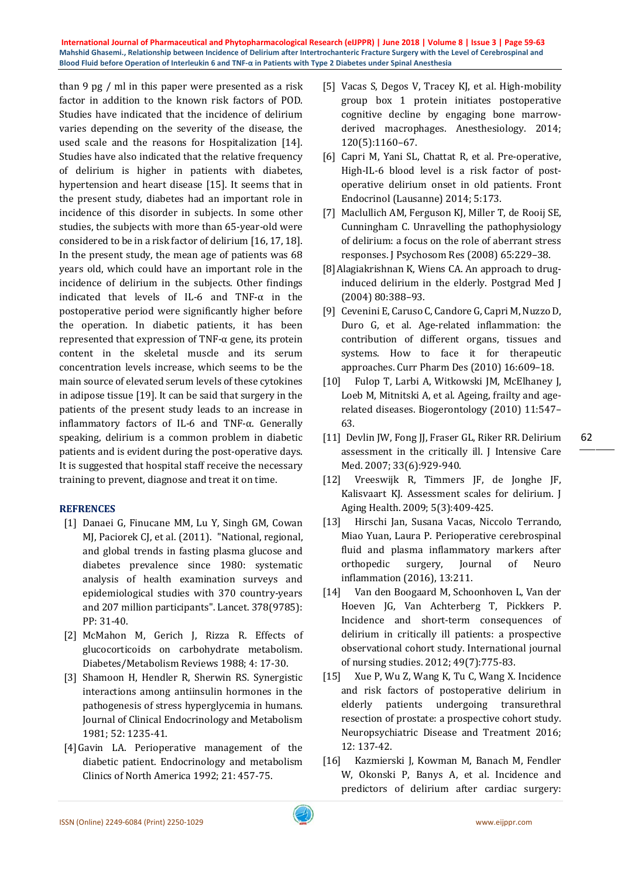than 9 pg / ml in this paper were presented as a risk factor in addition to the known risk factors of POD. Studies have indicated that the incidence of delirium varies depending on the severity of the disease, the used scale and the reasons for Hospitalization [14]. Studies have also indicated that the relative frequency of delirium is higher in patients with diabetes, hypertension and heart disease [15]. It seems that in the present study, diabetes had an important role in incidence of this disorder in subjects. In some other studies, the subjects with more than 65-year-old were considered to be in a risk factor of delirium [16, 17, 18]. In the present study, the mean age of patients was 68 years old, which could have an important role in the incidence of delirium in the subjects. Other findings indicated that levels of IL-6 and TNF-α in the postoperative period were significantly higher before the operation. In diabetic patients, it has been represented that expression of TNF-α gene, its protein content in the skeletal muscle and its serum concentration levels increase, which seems to be the main source of elevated serum levels of these cytokines in adipose tissue [19]. It can be said that surgery in the patients of the present study leads to an increase in inflammatory factors of IL-6 and TNF-α. Generally speaking, delirium is a common problem in diabetic patients and is evident during the post-operative days. It is suggested that hospital staff receive the necessary training to prevent, diagnose and treat it on time.

# **REFRENCES**

- [1] Danaei G, Finucane MM, Lu Y, Singh GM, Cowan MJ, Paciorek CJ, et al. (2011). "National, regional, and global trends in fasting plasma glucose and diabetes prevalence since 1980: systematic analysis of health examination surveys and epidemiological studies with 370 country-years and 207 million participants". Lancet. 378(9785): PP: 31-40.
- [2] McMahon M, Gerich J, Rizza R, Effects of glucocorticoids on carbohydrate metabolism. Diabetes/Metabolism Reviews 1988; 4: 17-30.
- [3] Shamoon H, Hendler R, Sherwin RS. Synergistic interactions among antiinsulin hormones in the pathogenesis of stress hyperglycemia in humans. Journal of Clinical Endocrinology and Metabolism 1981; 52: 1235-41.
- [4]Gavin LA. Perioperative management of the diabetic patient. Endocrinology and metabolism Clinics of North America 1992; 21: 457-75.
- [5] Vacas S, Degos V, Tracey KJ, et al. High-mobility group box 1 protein initiates postoperative cognitive decline by engaging bone marrowderived macrophages. Anesthesiology. 2014; 120(5):1160–67.
- [6] Capri M, Yani SL, Chattat R, et al. Pre-operative, High-IL-6 blood level is a risk factor of postoperative delirium onset in old patients. Front Endocrinol (Lausanne) 2014; 5:173.
- [7] Maclullich AM, Ferguson KJ, Miller T, de Rooij SE, Cunningham C. Unravelling the pathophysiology of delirium: a focus on the role of aberrant stress responses. J Psychosom Res (2008) 65:229–38.
- [8]Alagiakrishnan K, Wiens CA. An approach to druginduced delirium in the elderly. Postgrad Med J (2004) 80:388–93.
- [9] Cevenini E, Caruso C, Candore G, Capri M, Nuzzo D, Duro G, et al. Age-related inflammation: the contribution of different organs, tissues and systems. How to face it for therapeutic approaches. Curr Pharm Des (2010) 16:609–18.
- [10] Fulop T, Larbi A, Witkowski JM, McElhaney J, Loeb M, Mitnitski A, et al. Ageing, frailty and agerelated diseases. Biogerontology (2010) 11:547– 63.
- [11] Devlin JW, Fong JJ, Fraser GL, Riker RR. Delirium assessment in the critically ill. J Intensive Care Med. 2007; 33(6):929-940.

62

- [12] Vreeswijk R, Timmers JF, de Jonghe JF, Kalisvaart KJ. Assessment scales for delirium. J Aging Health. 2009; 5(3):409-425.
- [13] Hirschi Jan, Susana Vacas, Niccolo Terrando, Miao Yuan, Laura P. Perioperative cerebrospinal fluid and plasma inflammatory markers after orthopedic surgery, Journal of Neuro inflammation (2016), 13:211.
- [14] Van den Boogaard M, Schoonhoven L, Van der Hoeven JG, Van Achterberg T, Pickkers P. Incidence and short-term consequences of delirium in critically ill patients: a prospective observational cohort study. International journal of nursing studies. 2012; 49(7):775-83.
- [15] Xue P, Wu Z, Wang K, Tu C, Wang X. Incidence and risk factors of postoperative delirium in elderly patients undergoing transurethral resection of prostate: a prospective cohort study. Neuropsychiatric Disease and Treatment 2016; 12: 137-42.
- [16] Kazmierski J, Kowman M, Banach M, Fendler W, Okonski P, Banys A, et al. Incidence and predictors of delirium after cardiac surgery: